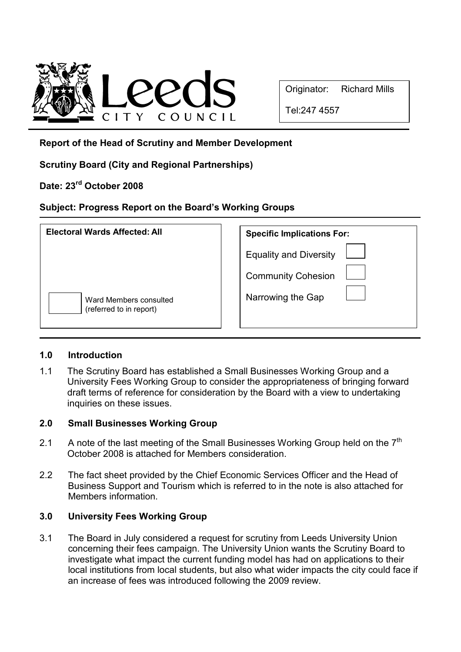

Tel:247 4557

## Report of the Head of Scrutiny and Member Development

Scrutiny Board (City and Regional Partnerships)

# Date: 23rd October 2008

## Subject: Progress Report on the Board's Working Groups

| <b>Electoral Wards Affected: All</b>              | <b>Specific Implications For:</b> |
|---------------------------------------------------|-----------------------------------|
|                                                   | <b>Equality and Diversity</b>     |
|                                                   | <b>Community Cohesion</b>         |
| Ward Members consulted<br>(referred to in report) | Narrowing the Gap                 |

### 1.0 Introduction

1.1 The Scrutiny Board has established a Small Businesses Working Group and a University Fees Working Group to consider the appropriateness of bringing forward draft terms of reference for consideration by the Board with a view to undertaking inquiries on these issues.

### 2.0 Small Businesses Working Group

- 2.1 A note of the last meeting of the Small Businesses Working Group held on the  $7<sup>th</sup>$ October 2008 is attached for Members consideration.
- 2.2 The fact sheet provided by the Chief Economic Services Officer and the Head of Business Support and Tourism which is referred to in the note is also attached for Members information.

## 3.0 University Fees Working Group

3.1 The Board in July considered a request for scrutiny from Leeds University Union concerning their fees campaign. The University Union wants the Scrutiny Board to investigate what impact the current funding model has had on applications to their local institutions from local students, but also what wider impacts the city could face if an increase of fees was introduced following the 2009 review.